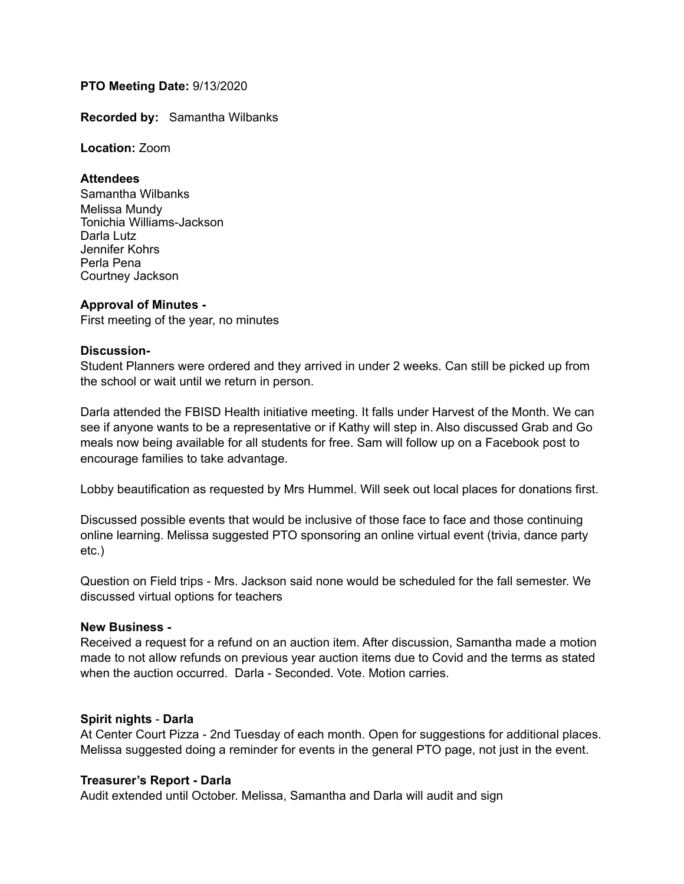# **PTO Meeting Date:** 9/13/2020

**Recorded by:** Samantha Wilbanks

**Location:** Zoom

## **Attendees**

Samantha Wilbanks Melissa Mundy Tonichia Williams-Jackson Darla Lutz Jennifer Kohrs Perla Pena Courtney Jackson

## **Approval of Minutes -**

First meeting of the year, no minutes

### **Discussion-**

Student Planners were ordered and they arrived in under 2 weeks. Can still be picked up from the school or wait until we return in person.

Darla attended the FBISD Health initiative meeting. It falls under Harvest of the Month. We can see if anyone wants to be a representative or if Kathy will step in. Also discussed Grab and Go meals now being available for all students for free. Sam will follow up on a Facebook post to encourage families to take advantage.

Lobby beautification as requested by Mrs Hummel. Will seek out local places for donations first.

Discussed possible events that would be inclusive of those face to face and those continuing online learning. Melissa suggested PTO sponsoring an online virtual event (trivia, dance party etc.)

Question on Field trips - Mrs. Jackson said none would be scheduled for the fall semester. We discussed virtual options for teachers

## **New Business -**

Received a request for a refund on an auction item. After discussion, Samantha made a motion made to not allow refunds on previous year auction items due to Covid and the terms as stated when the auction occurred. Darla - Seconded. Vote. Motion carries.

## **Spirit nights** - **Darla**

At Center Court Pizza - 2nd Tuesday of each month. Open for suggestions for additional places. Melissa suggested doing a reminder for events in the general PTO page, not just in the event.

## **Treasurer's Report - Darla**

Audit extended until October. Melissa, Samantha and Darla will audit and sign